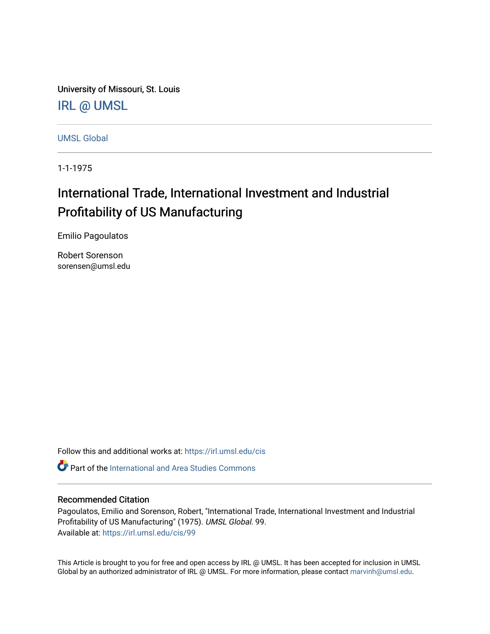University of Missouri, St. Louis [IRL @ UMSL](https://irl.umsl.edu/) 

[UMSL Global](https://irl.umsl.edu/cis)

1-1-1975

# International Trade, International Investment and Industrial Profitability of US Manufacturing

Emilio Pagoulatos

Robert Sorenson sorensen@umsl.edu

Follow this and additional works at: [https://irl.umsl.edu/cis](https://irl.umsl.edu/cis?utm_source=irl.umsl.edu%2Fcis%2F99&utm_medium=PDF&utm_campaign=PDFCoverPages) 

**C** Part of the International and Area Studies Commons

# Recommended Citation

Pagoulatos, Emilio and Sorenson, Robert, "International Trade, International Investment and Industrial Profitability of US Manufacturing" (1975). UMSL Global. 99. Available at: [https://irl.umsl.edu/cis/99](https://irl.umsl.edu/cis/99?utm_source=irl.umsl.edu%2Fcis%2F99&utm_medium=PDF&utm_campaign=PDFCoverPages) 

This Article is brought to you for free and open access by IRL @ UMSL. It has been accepted for inclusion in UMSL Global by an authorized administrator of IRL @ UMSL. For more information, please contact [marvinh@umsl.edu](mailto:marvinh@umsl.edu).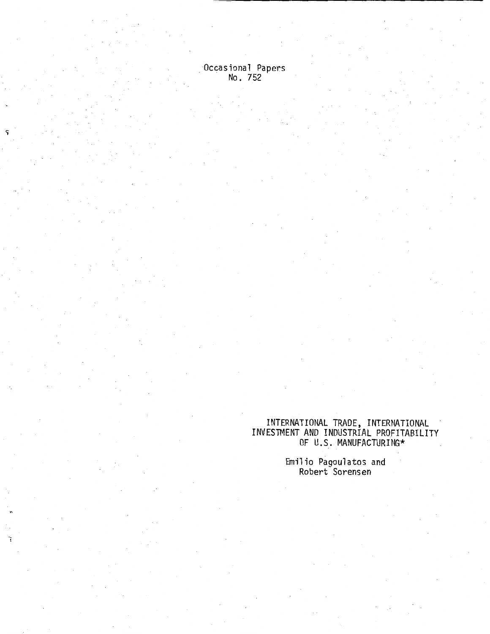Occasional Papers<br>No. 752

ĩ

# INTERNATIONAL TRADE, INTERNATIONAL INVESTMENT AND INDUSTRIAL PROFITABILITY OF U.S. MANUFACTURING\*

Emilio Pagoulatos and Robert Sorensen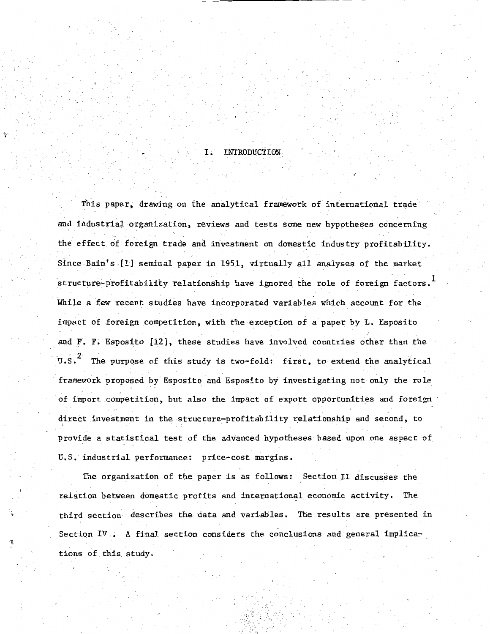## **INTRODUCTION**

This paper, drawing on the analytical framework of international trade' and industrial organization, reviews and tests some new hypotheses concerning the effect of foreign trade and investment on domestic industry profitability. Since Bain's [1] seminal paper in 1951, virtually all analyses of the market structure-profitability relationship have ignored the role of foreign factors. $^{\mathrm{1}}$ While a few recent studies have incorporated variables which account for the impact of foreign competition, with the exception of a paper by L. Esposito and F. F. Esposito [12], these studies have involved countries other than the U.S.<sup>2</sup> The purpose of this study is two-fold: first, to extend the analytical framework proposed by Esposito and Esposito by investigating not only the role of import ,competition, but also the impact of export opportunities and foreign direct investment in the structure-profitability relationship and second, to provide a statistical test of the advanced hypotheses based upon one aspect of U.S. industrial performance: price-cost margins.

The organization of the paper is as follows: Section II discusses the relation between domestic profits and international economic activity. The third section · describes the data and variables. The results are presented in Section IV. A final section considers the conclusions and general implications of this study.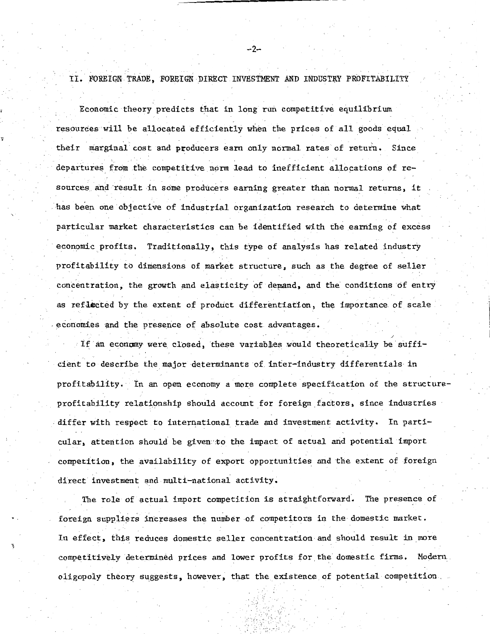II. FOREIGN TRADE, FOREIGN DIRECT INVESTMENT AND INDUSTRY PROFITABILITY

'i'

, .

Economic theory predicts that in long run competitive equilibrium resources will be allocated efficiently when the prices of all goods equal their marginal cost and producers earn only normal rates of return. Since departures from the competitive norm lead to inefficient allocations of resources and result in some producers earning greater than normal returns, it has been one objective of industrial organization research to determine what particular market characteristics can be identified with the earning of excess economic profits. Traditionally, this type of analysis has related industry profitability to dimensions of market structure, such as the degree of seller concentration, the growth and elasticity of demand, and the conditions of entry as reflected by the extent of product differentiation, the importance of scale economies and the presence of absolute cost advantages.

If an economy were closed, these variables would theoretically be sufficient to describe the major determinants of inter-industry differentials in profitability. In an open economy a more complete specification of the structureprofitability relationship should account for foreign factors, since industries -differ with respect to international trade and investment activity, In particular, attention should be given to the impact of actual and potential import competition, the availability of export opportunities and the extent of foreign direct investment and multi-national activity.

The role of actual import competition is straightforward. The presence of foreign suppliers increases the number of competitors in the domestic market. In effect, this reduces domestic seller concentration-and should result in more competitively determined prices and lower profits for the domestic firms. Modern oligopoly theory suggests, however, that the existence of potential competition.

--2-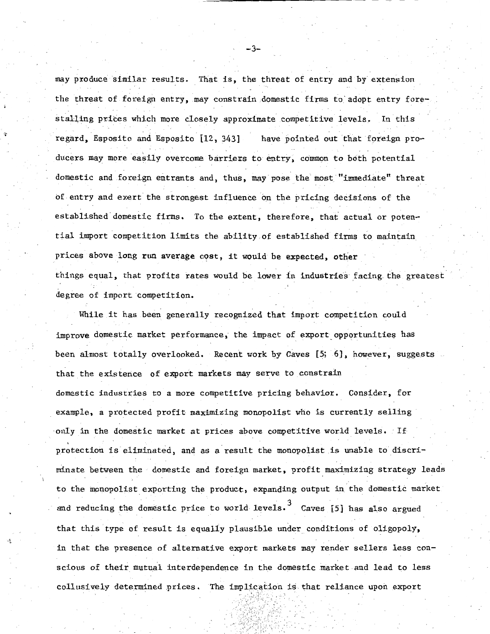may produce similar results. That is, the threat of entry and by extension the threat of foreign entry, may constrain domestic firms to adopt entry forestalling prices which more closely approximate competitive levels.. In this have pointed out that foreign proregard, Esposito and Esposito [12, 343] ducers may more easily overcome barriers to entry, common to both potential domestic and foreign entrants and, thus, may pose the most "immediate" threat of entry and exert the strongest influence on the pricing decisions of the established domestic firms. To the extent, therefore, that actual or potential import competition limits the ability of established firms to maintain prices above long run average c9st, it would be expected, other things equal, that profits rates would be lower in industries facing. the greatest degree of import competition.

While it has been generally recognized that import competition could improve dqmestic market performance, the impact of export opportunities has been almost totally overlooked. Recent work by Caves [5; 6], however, suggests that the existence of export markets may serve to constrain domestic industries to a more competitive pricing behavior. Consider, for example, a protected profit maxfunizing monopolist who is currently selling -only in the domestic market at prices above competitive world levels. - If protection is eliminated, and as a result the monopolist is unable to discriminate between the domestic and foreign market, profit maximizing strategy leads to the monopolist exporting the product, expanding output in the domestic market and reducing the domestic price to world levels.<sup>3</sup> Caves [5] has also argued that this type of result is equally plausible under conditions of oligopoly, in that the presence of alternative export markets may render sellers less conscious of their mutual interdependence in the domestic market and lead to less collusively determined prices. The implication is that reliance upon export

-3-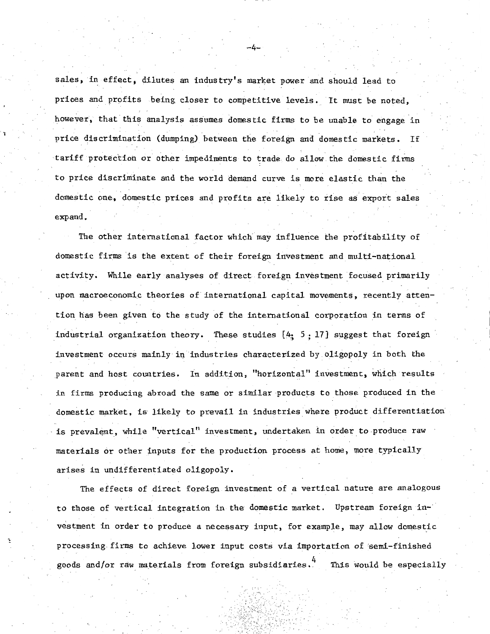sales, in effect, dilutes an industry's market power and should lead to prices and profits being closer to competitive levels. It must be noted, however, that this analysis assumes domestic firms to be unable to engage in price discrimination (dumping) between the foreign and domestic markets, If tariff protection or other impediments to trade do allow the domestic firms to price discriminate and the world demand curve is more elastic than the domestic one, domestic prices and profits are likely to rise as export sales expand.

i

The other international factor which may influence the profitability of domestic firms is the extent of their foreign investment and multi-national activity. While early analyses of direct foreign investment focused primarily upon macroeconomic theories of international capital movements, recently attention has been given to the study of the international corporation in terms of industrial organization theory. These studies  $[4: 5: 17]$  suggest that foreign investment occurs mainly in industries characterized by oligopoly in both the parent and host countries, In addition, "horizontal" investment, which results in firms producing abroad the same or similar products to those produced in the domestic market, is likely to prevail in industries where product differentiation is prevalent, while "vertical" investment, undertaken in order to produce raw materials or other inputs for the production process at home, more typically arises in undifferentiated oligopoly.

The effects of direct foreign investment of a vertical nature are analogous to those of vertical integration in the domestic market. Upstream foreign investment in order to produce a necessary input, for example, may allow domestic processing firms to achieve lower input costs via importation of 'semi-finished goods and/or raw materials from foreign subsidiaries. This would be especially

-4-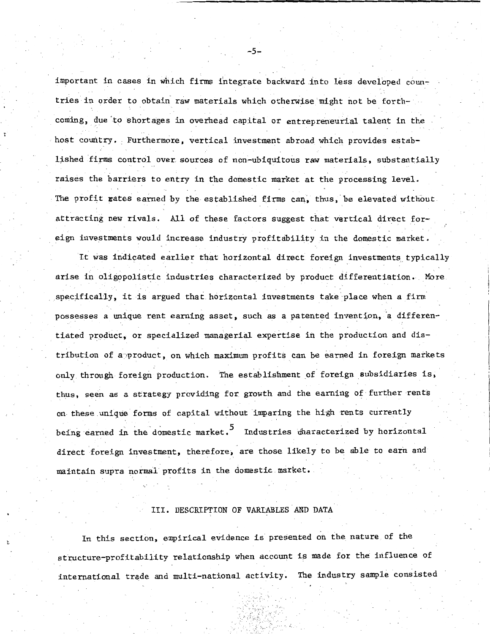important in cases in which firms i'ntegrate backward into less developed countries in order to obtain raw materials which otherwise might not be forthcoming, due to shortages in overhead capital or entrepreneurial talent in the host country. Furthermore, vertical investment abroad which provides established firms control over sources of non-ubiquitous raw materials, substantially raises the barriers to entry in the domestic market at the processing level. The profit rates earned by the established firms can, thus, be elevated without attracting new rivals. All of these factors suggest that vertical direct foreign investments would increase industry profitability in the domestic market.

It was indicated earlier that horizontal direct foreign investments typically arise in oligopolistic industries characterized by product differentiation. More specifically, it is argued that horizontal investments take place when a firm possesses a unique rent earning asset, such as a patented invention, a differentiated product, or specialized managerial expertise in the production and distribution of a•product, on which maximum profits can be earned in foreign markets only through foreign production. The establishment of foreign subsidiaries is, thus, seen as a strategy providing for growth and the earning of further rents on these unique forms of capital without imparing the high rents currently being earned in the domestic market.  $^5$  Industries characterized by horizontal direct foreign investment, therefore, are those likely to be able to earn and maintain supra normal profits in the domestic market.

#### III. DESCRIPTION OF VARIABLES AND DATA

In this section, empirical evidence is presented on the nature of the structure-profitability relationship when account is made for the influence of international trade and multi-national activity. The industry sample consisted

 $-5-$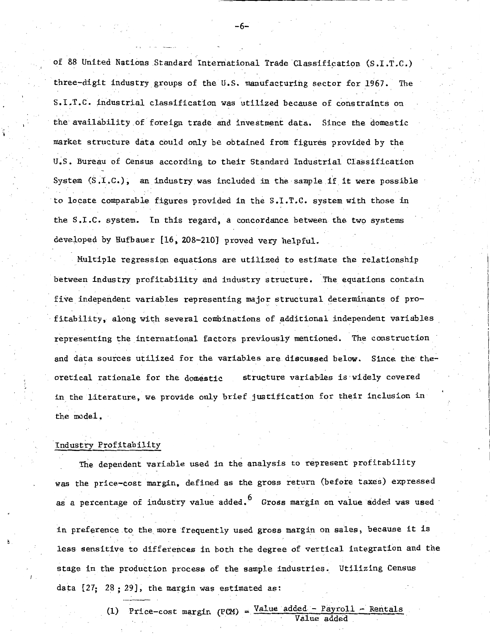of 88 United Nations Standard International Trade Classification (S.I.T.C,) three-digit industry groups of the U.S. manufacturing sector for 1967. The s. I ,T ,C, :i.n.dustrial classification was utilized because of constraints on the' availability of foreign trade and investment data. Since the domestic market structure data could only be obtained from figures provided by the U~S. Bureau of Census according to their Standard Industrial Classification System (S.I.C.), an industry was included in the sample if it were possible to locate comparable figures provided in the S.I.T.C. system with those in the S.I.C. system. In this regard, a concordance between the two systems developed by Hufbauer [16, 208-210] proved very helpful.

Multiple regression equations are utilized to estimate the relationship between industry profitability and industry structure, The equations contain five independent variables representing major structural determinants of profitability, along with several combinations of additional independent variables representing the international factors previously mentioned. The construction and data sources utilized for the variables are discussed below. Since the theoretical rationale for the domestic structure variables is widely covered in the literature, we provide only brief justification for their inclusion in the model.

## Industry Profitability

The dependent variable used in the analysis to represent profitability was the price-cost margin, defined as the gross return (before taxes) expressed as a percentage of industry value added.  $^6$   $\,$  Gross margin on value added was used in preference to the more frequently used gross margin on sales, because it is less sensitive to differences in both the degree of vertical integration and the stage in the production process of the sample industries. Utilizing Census

(1) Price-cost margin (PCM) =  $\frac{\text{Value added - Payroll - Rentals}}{\text{Value added}}$ 

data  $[27; 28; 29]$ , the margin was estimated as:

-6-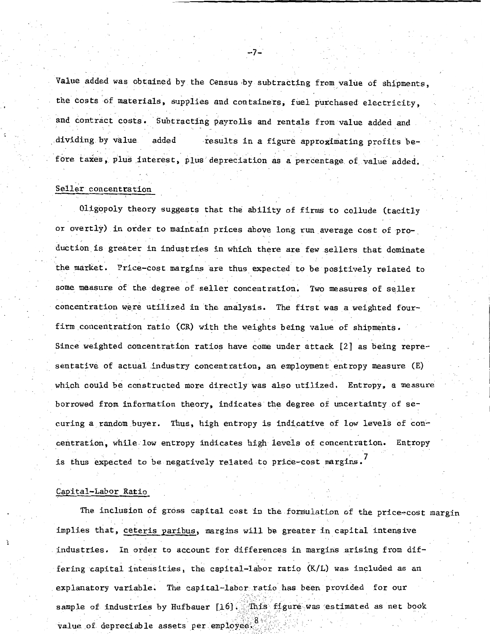Value added was obtained by the Census by subtracting from value of shipments, the costs of materials, supplies and containers, fuel purchased electricity, and contract costs. Subtracting payrolls and rentals from value added and. dividing by value added results in a figure approximating profits before taxes, plus interest, plus depreciation as a percentage of value added.

-7-

#### Seller concentration

Oligopoly theory suggests that the ability of firms to collude (tacitly or overtly) in order to maintain prices above long run average cost of pro-. duction is greater in industries in which there are few sellers that dominate the market. Price-cost margins are thus expected to be positively related to some measure of the degree of seller concentration. Two measures of seller concentration were utilized in the analysis. The first was a weighted fourfirm concentration ratio (CR) with the weights being value of shipments. Since weighted concentration ratios have come under attack [2] as being representative of actual industry concentration, an employment entropy measure (E) which could be constructed more directly was also utilized. Entropy, a measure borrowed from information theory, indicates·the degree of uncertainty of securing a random buyer. Thus, high entropy is indicative of low levels of  $\mathsf{con}$ centration, while-low entropy indicates high levels of concentration. Entropy is thus expected to be negatively related to price-cost margins.<sup>7</sup>

### Capital-Labor Ratio

The inclusion of gross capital cost in the formulation of the price~cost margin implies that, ceteris paribus, margins will be greater in capital intensive industries. In order to account for differences in margins arising from differing capital intensities, the capital-labor ratio (K/L) was included as an explanatory variable. The capital-labor ratio has been provided for our sample of industries by Hufbauer  $[16]$  . This figure was estimated as net book value of depreciable assets per employee;  $3^8$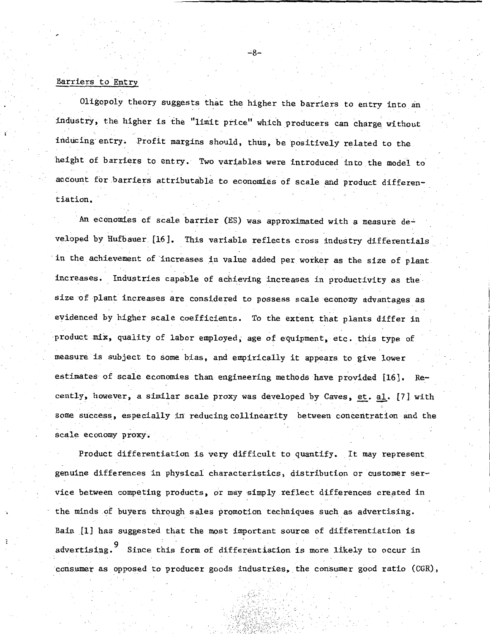## Barriers to Entry

Oligopoly theory suggests that the higher the barriers to entry into an industry, the higher is the "limit price" which producers can charge without inducing entry. Profit margins should, thus, be positively related to the height of barriers to entry. Two variables were introduced into the model to account for barriers attributable to economies of scale and product differentiation.

An economies of scale barrier (ES) was approximated with a measure developed by Hufbauer. [16]. This variable reflects cross industry differentials in the achievement of increases in value added per worker as the size of plant. increases. Industries capable of achieving increases in productivity as thesize of plant increases are considered to possess scale economy advantages as evidenced by higher scale coefficients. To the extent that plants differ in product mix, quality of labor employed, age of equipment, etc. this type of measure is subject to some bias, and empirically it appears. to give lower estimates of scale economies than engineering methods have provided [16]. Recently, however, a similar scale proxy was developed by Caves, et. al. [7] with some success, especially in reducing collinearity between concentration and the scale economy proxy.

Product differentiation is very difficult to quantify. It may represent genuine differences in physical characteristics, distribution or customer service between competing products, or may simply reflect differences created in the minds of buyers through sales promotion techniques such as advertising. Bain [1] has suggested that the most important source of differentiation is advertising. <sup>9</sup> Since this form of differentiation is more likely to occur in consumer as opposed to producer goods industries, the consumer good ratio (CGR),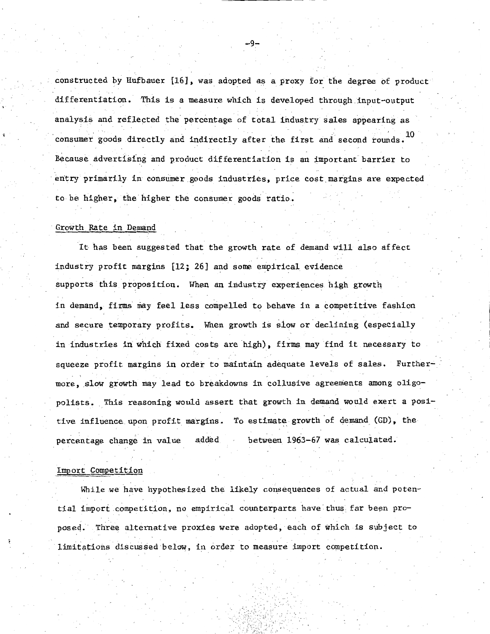constructed by Hufbauer [16], was adopted as a proxy for the degree of product differentiation. This is a measure which is developed through input-output analysis and reflected the percentage of total industry sales appearing as consumer goods directly and indirectly after the first and second rounds.  $^{\rm 10}$ Because. advertising and product differentiation is an important barrier to entry primarily in consumer goods industries, price cost margins are expected to be higher, the higher the consumer goods ratio.

## Growth Rate in Demand

It has been suggested that the growth rate of demand will also affect industry profit margins [12; 26] and some empirical evidence supports this proposition. When an industry experiences high growth in demand, firms may feel less compelled to behave in a competitive fashion and secure temporary profits. When growth is slow or declining (especially in industries in which fixed costs are high), firms may find it necessary to squeeze profit margins in order to maintain adequate levels of sales. Furthermore, slow growth may lead to breakdowns in collusive agreements among oligopolists. This reasoning would assert that growth in demand would exert a positive influence upon profit margins. To estimate growth of demand (GD), the percentage change in value added between 1963-67 was calculated.

#### Import Competition

While we have hypothesized the likely consequences of actual and potential import competition, no empirical counterparts have thus far been proposed. Three alternative proxies were adopted, each of which is subject to limitations discussed below, in order to measure import competition.

 $-9-$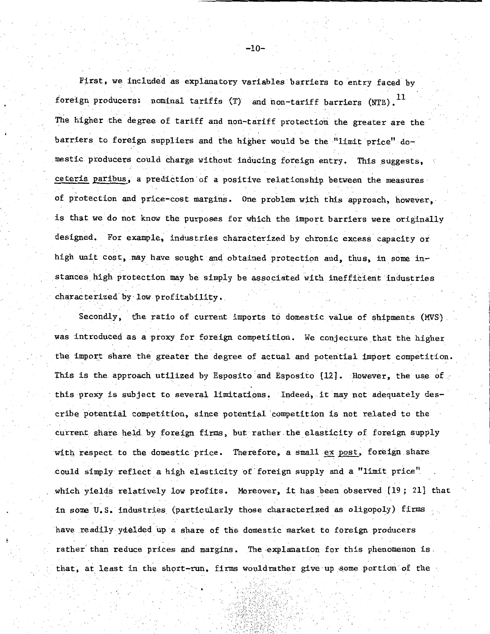First, we included as explanatory variables barriers to entry faced by foreign producers: nominal tariffs (T) and non-tariff barriers (NTB).  $^{11}$ The higher the degree of tariff and non-tariff protection the greater are the barriers to foreign suppliers and the higher would be the "limit price" domestic producers could charge without inducing foreign entry. This suggests, ceteris paribus, a prediction of a positive relationship between the measures of protection and price-cost margins. One problem with this approach, however, is that we do not know the purposes for which the import barriers were originally designed. For example, industries characterized by chronic excess capacity or high unit cost, may have sought and obtained protection and, thus, in some instances high protection may be simply be associated with inefficient industries characterized by low profitability.

Secondly, the ratio of current imports to domestic value of shipments (MVS). was introduced as a proxy for foreign competition. We conjecture that the higher the import share the greater the degree of actual and potential import competition. This is the approach utilized by Esposito and Esposito [12]. However, the use of this proxy is subject to several limitations. Indeed, it may not adequately describe potential competition, since potential competition is not related to the current share held by foreign firms, but rather the elasticity of foreign supply with respect to the domestic price. Therefore, a small ex post, foreign share could simply reflect a high elasticity of foreign supply and a "limit price" which yields relatively low profits. Moreover, it has been observed [19; 21] that in soma U.S. industries. (particularly those characterized as oligopoly) firms have readily yielded up a share of the domestic market to foreign producers rather than reduce prices and margins. The explanation for this phenomenon is. that, at least in the short-run, firms wouldrather give up some portion of the

 $-10-$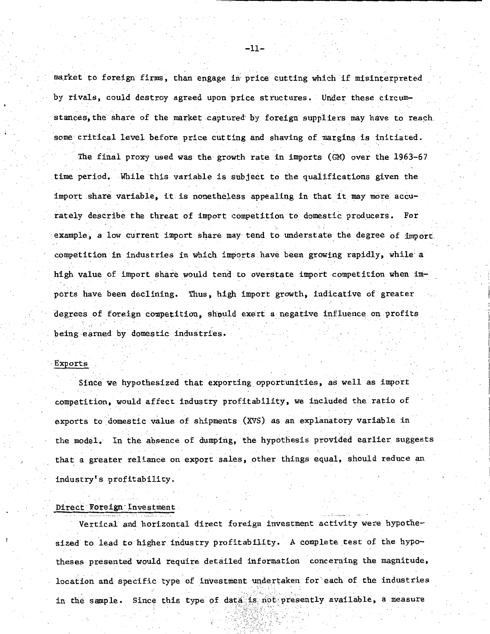market to foreign firms, than engage in price cutting which if misinterpreted by rivals, could destroy agreed upon price structures. Under these circumstances, the share of the market captured by foreign suppliers may have to reach some critical level before price cutting and shaving of margins is initiated.

The final proxy used was the growth rate in imports (GM) over the 1963-67 time period. While this variable is subject to the qualifications given the import share variable, it is nonetheless appealing in that it may more accurately describe the threat of import competition to domestic producers. For example, a low current import share may tend to understate the degree of import. competition in industries in which imports have been growing rapidly, while· a high value of import share would tend to overstate import competition when imports have been declining. Thus, high import growth, indicative of greater degrees of foreign competition, should exert a negative influence on profits being earned by domestic industries.

#### **Exports**

Since we hypothesized that exporting\_opportunities, as well as import competition, would affect industry profitability, we included the ratio of exports to domestic value of shipments (XVS) as an explanatory variable in the model. In the absence of dumping, the hypothesis provided earlier suggests that a greater reliance on export sales, other things equal, should reduce an industry's profitability.

## Direct Foreign Investment

Vertical and horizontal direct foreign investment activity were hypothesized to lead to higher industry profitability. A complete test of the hypotheses presented would require detailed information concerning the magnitude, location and specific type of investment undertaken for each of the industries in the sample. Since this type of data is not presently available, a measure

> (1.\\\~j *·\: :,* : /\,.  $\Lambda_{\rm{max}}$

-11-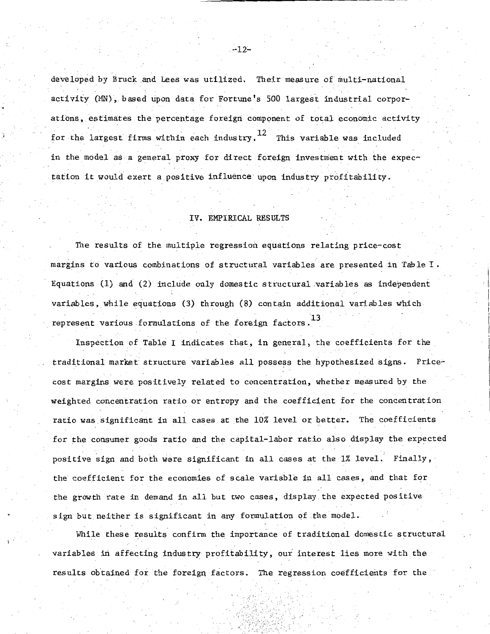developed by Bruck and. Lees was utilized. Their measure of multi-national activity (MN), based upon data for Fortune's 500 largest industrial corporations, estimates the percentage foreign component of total economic activity for the largest firms within each industry.  $^{12}$  This variable was included in the model as a general proxy for direct foreign investment with the expectation it would exert a positive influence upon industry profitability.

## IV. EMPIRICAL RESULTS

The results of the multiple regression equations relating price-cost margins to various combinations of structural variables are presented in Table I. Equations (1) and (2) include only domestic structural variables as independent variables, while equations (3) through (8) contain additional variables which represent various formulations of the foreign factors.<sup>13</sup>

I

Inspection of Table I indicates that, in general, the coefficients for the traditional market structure variables all possess the hypothesized signs. Pricecost margins were positively related to concentration, whether measured by the weighted concentration ratio or entropy and the coefficient for the concentration ratio was significant in all cases at the 10% level or better. The coefficients• for the consumer goods ratio and the capital-labor ratio also display the expected positive sign and both were significant in all cases at the  $1\%$  level. Finally, the coefficient for the economies of scale variable in all cases, and that for the growth rate in demand in all but two cases, display the expected positive sign but neither is significant in any formulation of the model.

While these results confirm the importance of traditional domestic structural variables in affecting industry profitability, our interest lies more with the results obtained for the foreign, factors. The regression coefficients for the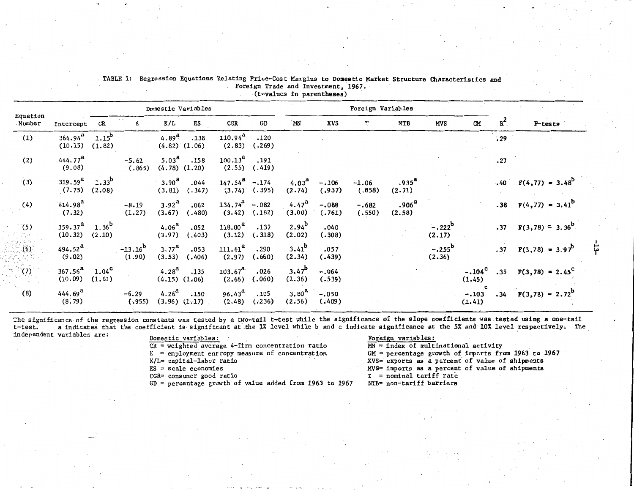|                               | Domestic Variables          |                                                                                                              |          |                |                                                                                                                                                                                                                                               |                        | Foreign Variables                                                                                                                                                           |                   |                   |                             |                     |                    |       |                                |
|-------------------------------|-----------------------------|--------------------------------------------------------------------------------------------------------------|----------|----------------|-----------------------------------------------------------------------------------------------------------------------------------------------------------------------------------------------------------------------------------------------|------------------------|-----------------------------------------------------------------------------------------------------------------------------------------------------------------------------|-------------------|-------------------|-----------------------------|---------------------|--------------------|-------|--------------------------------|
|                               | CR                          | Е                                                                                                            | K/L      | ES             | $_{\tt CGR}$                                                                                                                                                                                                                                  | $\mathbf{G}\mathbf{D}$ | MN                                                                                                                                                                          | XVS               | т                 | NTB                         | MVS                 | <b>CM</b>          | $R^2$ | $P$ -tests                     |
| $364.94^{\rm a}$              |                             |                                                                                                              |          | .138           | (2.83)                                                                                                                                                                                                                                        | .120<br>(.269)         |                                                                                                                                                                             |                   |                   |                             |                     |                    | .29   |                                |
| 444.77 <sup>a</sup><br>(9.08) |                             | $-5.62$<br>(.865)                                                                                            |          | .158           |                                                                                                                                                                                                                                               | .191                   |                                                                                                                                                                             |                   |                   |                             |                     |                    | .27   |                                |
| $319.59^{a}$<br>(7.75)        | $1.33^{b}$                  |                                                                                                              |          | .044<br>(.347) |                                                                                                                                                                                                                                               |                        | (2.74)                                                                                                                                                                      | $-.106$<br>(.937) | $-1.06$<br>(.858) | $.935^{\text{a}}$<br>(2.71) |                     |                    |       | $.40 \tF(4,77) = 3.48^b$       |
| 414.98 <sup>a</sup><br>(7.32) |                             | $-8.19$<br>(1.27)                                                                                            | (3.67)   | .062<br>(.480) |                                                                                                                                                                                                                                               |                        | 4.47 <sup>a</sup><br>(3.00)                                                                                                                                                 | $-.088$<br>(.761) | $-.682$<br>(.550) | .906 <sup>a</sup><br>(2.58) |                     |                    |       | .38 $F(4, 77) = 3.41^b$        |
| (10.32)                       |                             |                                                                                                              | (3.97)   | .052<br>(.403) | (3.12)                                                                                                                                                                                                                                        | .137<br>(.318)         | $2.94^{b}$<br>(2.02)                                                                                                                                                        | .040<br>(.308)    |                   |                             | $-.222^b$<br>(2.17) |                    |       | $.37 \quad F(3,78) = 3.36^{b}$ |
| (9.02)                        |                             | $-13.16^{b}$<br>(1.90)                                                                                       | (3.53)   | .053<br>(.406) | $111.61^a$<br>(2.97)                                                                                                                                                                                                                          | .290<br>(.660)         | $3.41^{b}$<br>(2.34)                                                                                                                                                        | .057<br>(.439)    |                   |                             | $-.255^b$<br>(2.36) |                    |       | $.37 \tF(3,78) = 3.97^b$       |
| $367.56^{a}$<br>(10.09)       | $1.04^{\text{c}}$<br>(1.61) |                                                                                                              |          |                | (2.66)                                                                                                                                                                                                                                        | .026<br>(.060)         | $3.47^{b}$<br>(2.36)                                                                                                                                                        | $-.064$<br>(.539) |                   |                             |                     | $-.104c$<br>(1.45) |       | .35 $F(3,78) = 2.45^{\circ}$   |
| 444.69 <sup>a</sup><br>(8.79) |                             | $-6.29$<br>(.955)                                                                                            |          |                | $96.43^{\rm a}$<br>(2.48)                                                                                                                                                                                                                     | .105<br>(.236)         | 3.80 <sup>4</sup><br>(2:56)                                                                                                                                                 | $-.050$<br>(.409) |                   |                             |                     | $-.103$<br>(1.41)  | .34   | $F(3,78) = 2.72^{b}$           |
|                               |                             | Intercept<br>$(10.15)$ $(1.82)$<br>(2.08)<br>$359.37^{a}$ 1.36 <sup>b</sup><br>(2.10)<br>494.52 <sup>a</sup> | $1.15^b$ |                | 4.89 <sup>a</sup><br>$(4.82)$ $(1.06)$<br>$5.03^{\rm a}$<br>$(4.78)$ $(1.20)$<br>$3.90^{\rm a}$<br>(3.81)<br>$3.92^{a}$<br>4.06 <sup>a</sup><br>$3.77^{\rm a}$<br>$4.28^{a}$ .135<br>$(4.15)$ $(1.06)$<br>$4.26^a$ . 150<br>$(3.96)$ $(1.17)$ |                        | $110.94^{a}$<br>$100.13^{\rm a}$<br>$(2.55)$ $(.419)$<br>$147.54^{a}$ -.174<br>$(3.74)$ (.395)<br>$134.74^a$ -.082<br>$(3.42)$ $(.182)$<br>$118.00^{\rm a}$<br>$103.67^{a}$ |                   | $4.03^{8}$        |                             |                     |                    |       |                                |

TABLE 1: Regression Equations Relating Price-Cost Margins *to* Domestic Market Structure Characteristics and Foreign Trade and Investment, 1967.

•Ct-values in parentheses)

The significance of the regression constants was tested by a two-tail t-test while the significance of the slope coefficients was tested using a one-tail t-test. a indicates that the coefficient is significant at the 1% le a indicates that the coefficient is significant at the 1% level while b and c indicate significance at the 5% and 10% level respectively. The independent variables are:<br>
Domestic variables:

 $CR = weighted average 4-firm concentration ratio$  $E =$  employment entropy measure of concentration K/L= capital-labor ratio  $ES = scale$  economies CGR= consumer good ratio GD= percentage growth.of value added from 1963 *to* 1967

#### Foreign variables:

 $MN = 1$ ndex of multinational activity GM= percentage growth of imports from 1963 *to* 1967 XVS= exports as a percent of value of shipments MVS= imports as a percent of value of shipments T = nominal tariff rate NTB= non-tariff barriers

 $\frac{1}{7}$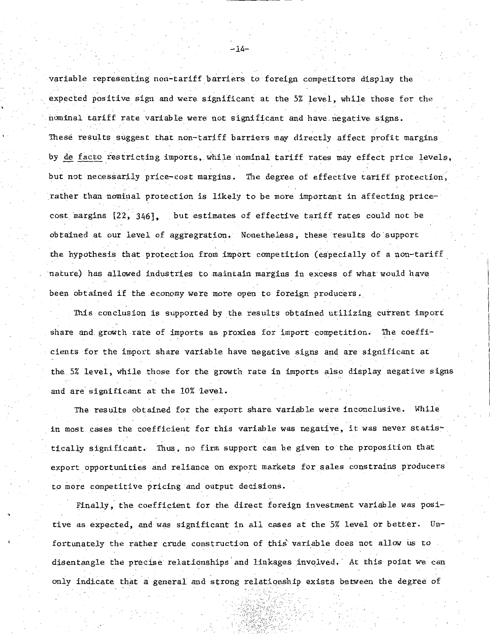variable representing non-tariff barriers to foreign competitors display the expected positive sign and were significant at the 5% level, while those for the nominal tariff rate variable were not significant and have negative signs. These results suggest that non-tariff barriers may directly .affect profit margins by de facto restricting imports, while nominal tariff rates may effect price levels, but not necessarily price-cost margins. The degree of effective tariff protection, rather than nominal protection is likely to be more important in affecting pricecost margins  $[22, 346]$ , but estimates of effective tariff rates could not be obtained at our level of aggregration. Nonetheless, these results do support the hypothesis that protection from import competition (especially of a non-tariff nature) has allowed industries to maintain margins in excess of what would have been obtained if the economy were more open to foreign producers.

This conclusion is supported by the results obtained utilizing current import share and. growth rate of imports as proxies for import competition. The coefficients for the import share variable have negative signs and are significant at the 5% level, while those for the growth rate in imports also display negative signs and are significant at the 10% level.

The results obtained for the export share variable were inconclusive. While in most cases the coefficient for this variable was negative, it was never statis' tically significant. Thus, no firm support can be given to the proposition that export opportunities and reliance on export markets Eor sales constrains producers to more competitive pricing and output decisions.

Finally, the coefficient for the direct foreign investment variable was positive as expected, and was significant in all cases at the 5% level or better. Unfortunately the rather crude construction of this' variable does not allow us to disentangle the precise relationships and linkages involved. At this point we can only indicate that a general and strong relationship exists between the degree of

 $-14-$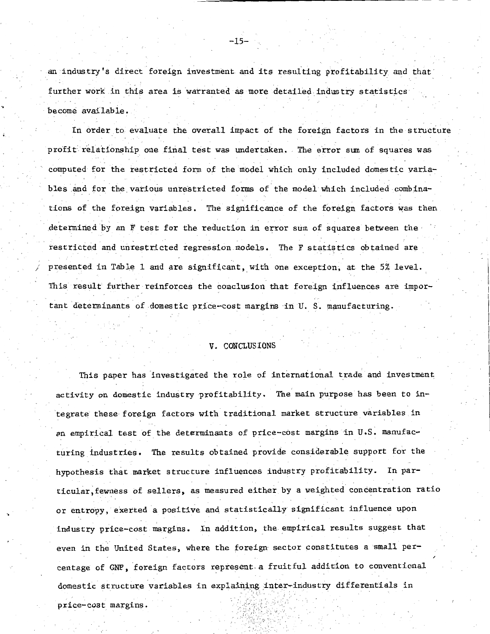an industry's direct foreign investment and its resulting profitability and that further work in this area is warranted as more detailed industry statistics become available.

In order to evaluate the overall impact of the foreign factors in the structure profit relationship one final test was undertaken. The error sum of squares was computed for the restricted form of the model which only included domes tic variables and for the various unrestricted forms of the model which included combinations of the foreign variables. The significance of the foreign factors was then determined by an F test for the reduction in error sum of squares between the restricted and unrestricted regression models. The F statistics obtained are presented in Table 1 and are significant, with one exception, at the 5% level. This result further reinforces the conclusion that foreign influences are important determinants of domestic price-cost margins in U. S. manufacturing.

## V. CONCLUSIONS

This paper has investigated the role of international trade and investment activity on domestic industry profitability. The main purpose has been to integrate these foreign factors with traditional market structure variables in .an empirical test of the determinants of price-cost margins in U.S. manufacturing industries. The results obtained provide considerable support for the hypothesis that market structure influences industry profitability. In par ticular, fewness of sellers, as measured either by a weighted concentration ratio or entropy, exerted a positive and. statistically significant influence upon industry price-cost margins. In addition, the empirical results suggest that even in the United States, where the foreign sector constitutes a small percentage of GNP, foreign factors represent a fruitful addition to conventional domestic structure variables in explaining inter-industry differentials in price-cost margins.

-15-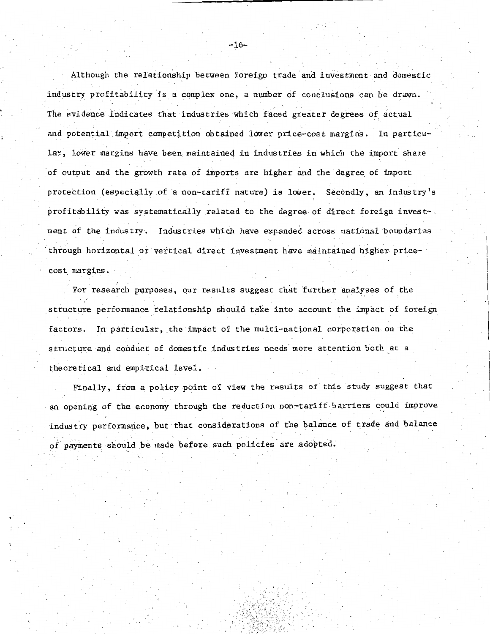Although the relationship between foreign trade. and investment and domestic industry profitability is a complex one, a number of conclusions can be drawn. The evidence indicates that industries which faced greater degrees of actual and potential import competition obtained lower price-cost margins. In particu- . . lar, lower margins have been maintained in industries in which the import share of output and the growth rate of imports are higher and the degree of import protection (especially of a non-tariff nature) is lower. Secondly, an industry's profitability was systematically related *to* the degree of direct foreign invest-. ment of the industry. Industries which have expanded across national boundaries through horizontal or vertical direct investment have maintained higher pricecost. margins.

For research **purposes,** our results suggest that "further analyses of the structure performance relationship should take into account the impact of foreign factors. In particular, the impact of the multi-national corporation on the structure and conduct of domestic industries needs more attention both at a theoretical and empirical level. ·

Finally, from a policy point of view the results of this study suggest that an opening of the economy through the reduction non-tariff barriers could improve industry performance, but· that considerations of the balance of trade and balance - . of payments should be made before such policies are adopted.

-16-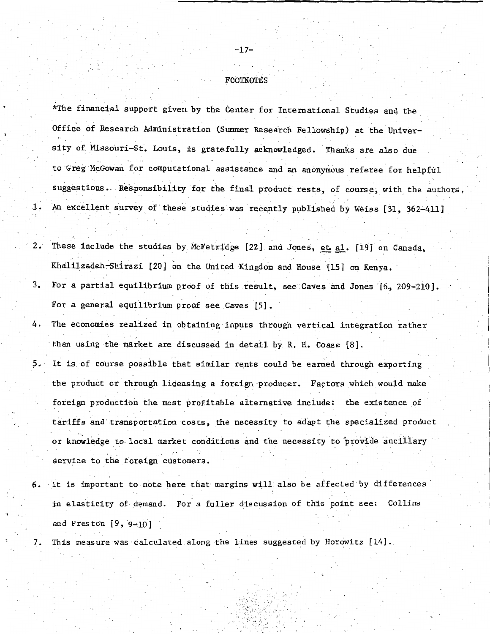#### FOOTNOTES

, ,

, , ,

\*The financial support given by the Center for International Studies and the Office of Research Administration (Summer Research Fellowship) at the University of Missouri-St. Louis, is gratefully acknowledged. Thanks are also due - , , to Greg McGowan for computational assistance and an anonymous referee for helpful suggestions. Responsibility for the final product rests, of course, with the authors. 1. An excellent survey of these studies was recently published by Weiss [31, 362-411]

- 2. These include the studies by McFetridge [22] and Jones, et al. [19] on Canada, Khalilzadeh Shirazi [20] on the United Kingdom and House [15] on Kenya.
- 3. For a partial equilibrium proof of this result, see Caves and Jones [6, 209-210]. For a general equilibrium proof see Caves  $[5]$ .
- 4. The economies realized in obtaining inputs through vertical integration rather than using the market are discussed in detail by R.H. Coase [8].

5. It is of course possible that similar rents could be earned through exporting the product or through licensing a foreign producer. Factors which would make foreign production the most profitable alternative include: the existence of tariffs-and transportation costs, the necessity to adapt the specialized product or knowledge to local market conditions and the necessity to provide ancillary service to the foreign customers.

- It is important to note here that margins will also be affected by differences in elasticity of demand. For a fuller discussion of this point see: Collins and Preston [9, 9-10]
- 7. This measure was calculated along the lines suggested by Horowitz [14].

-.

-17-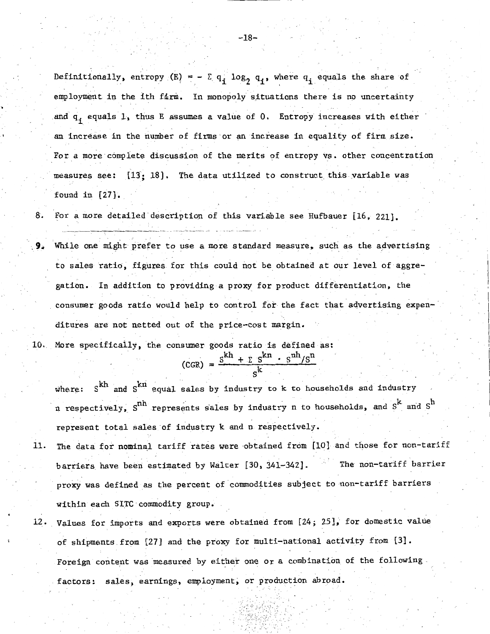Definitionally, entropy  $(E) = - \sum q_i \log_2 q_i$ , where  $q_i$  equals the share of employment in the ith farm. In monopoly situations there is no uncertainty and  $q_i$  equals 1, thus E assumes a value of 0. Entropy increases with either an increase in the number of firms or an increase in equality of firm size. For a more complete discussion of the merits of entropy vs. other concentration measures see:  $[13:18]$ . The data utilized to construct this variable was found in [27].

8. For a more detailed description of this variable see Hufbauer [16, 221].

 $9$ . While one might prefer to use a more standard measure, such as the advertising to sales ratio, figures for this could not be obtained at our level of aggregation. In addition to providing a proxy for product differentiation, the consumer goods ratio would help to control for the fact that advertising expenditures are not netted out of the price-cost margin.

10. More specificaily, the consumer goods ratio is defined as:

 $(\text{CGR}) = \frac{\text{s}^{\text{k} \text{h}} + \sum \text{s}^{\text{k} \text{n}} \cdot \text{s}^{\text{n} \text{h}} / \text{s}^{\text{n}}}{\text{s}^{\text{k}}}$ 

where:  $S^{kh}$  and  $S^{kn}$  equal sales by industry to k to households and industry n respectively,  $\text{s}^{\text{nh}}$  represents sales by industry n to households, and  $\text{s}^{\text{k}}$  and  $\text{s}^{\text{h}}$ represent total sales of industry k and n respectively.

- 11. The data for nominal tariff rates were obtained from [10] and those for non-tariff barriers have been estimated by Walter [30, 341-342]. The non-tariff barrier proxy was defined as the percent of commodities subject to non-tariff barriers within each SITC·commodity group.
- 12. Values for imports and exports were obtained from [24; 25], for domestic value of shipments from [27] and the proxy for multi-national activity from [3]. Foreign content was measured by either one or a combination of the following factors: sales, earnings, employment; or production abroad.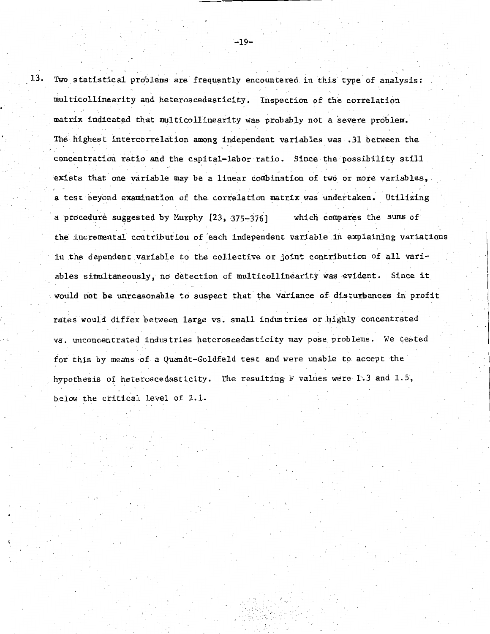$13$ . Two statistical problems are frequently encountered in this type of analysis: multicollinearity and heteroscedasticity. Inspection of the correlation matrix indicated that multicollinearity was probably not a severe problem. The highest intercorrelation among independent variables was .31 between the ' . concentration ratio and the capital-labor ratio. Since the possibility still exists that one variable may be a linear combination of two or more variables,. a test beyond examination of the correlation matrix was undertaken. Utilizing a procedure suggested by Murphy [23, 375-376] which compares the sums of the incremental contribution of each independent variable in explaining variations in the dependent variable to the collective or joint contribution of all variables simultaneously, no detection of multicollinearity was evident. Since it would not be unreasonable to suspect that the variance of disturbances in profit rates would differ between large vs. small industries or highly concentrated vs. unconcentrated industries heteroscedasticity may pose problems. We tested for this by means of a Quandt-Goldfeld test and were unable to accept the hypothesis of heteroscedasticity. The resulting F values were 1.3 and 1.5, below the critical level of 2.1.

 $-19-$ 

..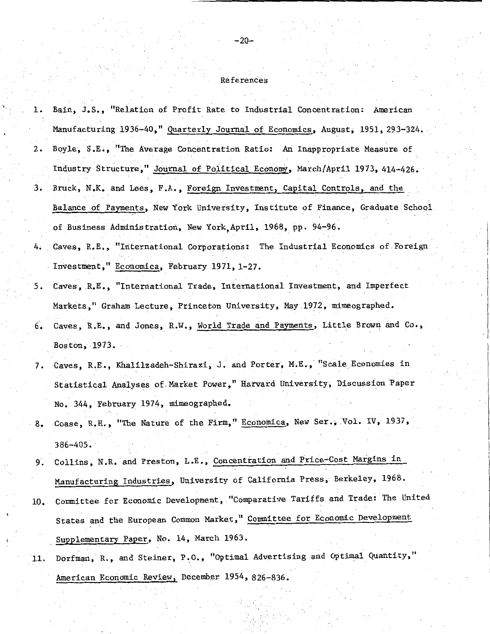#### References

- 1. Bain, J.S., "Relation of Profit Rate to Industrial Concentration: American Manufacturing 1936-40," Quarterly Journal of Economics, August, 1951, 293-324. 2. Boyle, S.E., "The Average Concentration Ratio: An Inappropriate Measure of Industry Structure," Journal of Political Economy, March/April 1973, 414-426. 3. Bruck, N.K. and Lees, F.A., Foreign Investment, Capital Controls, and the Balance of Payments, New York University, Institute of Finance, Graduate School of Business Administration, New York,Aptil, 1968, pp. 94-96.
- 4. Caves, R.E., "International Corporations: The Industrial Economics of Foreign Investment," Economica, February 1971, 1-27.
- 5. Caves, .R.E., "International Trade, International Investment, and Imperfect Markets," Graham Lecture, Princeton University, May 1972, mimeographed.
- 6. Caves, R.E., an4 Jones, R.W., World Trade and Payments, Little Brown and Co., j Boston, 1973.
- 7. Caves, R.E., Khalilzadeh-Shirazi, J. and Porter, M.E., "Scale Economies in Statistical Analyses of-Market Power," Harvard University, Discussion Paper No. 344, February 1974, mimeographed.
- 8. Coase, R.H., "The Nature of the Firm," Economica, New Ser., Vol. IV, 1937, 386-405. ·
- 9. Collins, N.R. and Preston, L.E., Concentration and Price-Cost Margins in Manufacturing Industries, University of California Press, Berkeley, 1968.
- 10. Committee for Economic Development, "Comparative Tariffs and Trade: The United States and the European Common Market," Committee for Economic Development Supplementary Paper, No. 14, March 1963.
- 11. Dorfman, R., and Steiner, P.O., "Optimal Advertising and Optimal Quantity," American Economic Review, December 1954, 826-836.

 $-20-$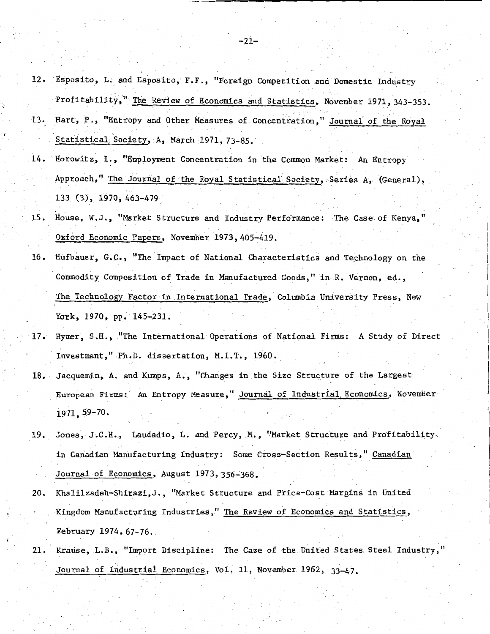12. Esposito, L. and Esposito, F.F., "Foreign Competition and Domestic Industry 13 • Profitability," The Review of Economics and Statistics, November 1971, 343-353. Hart, P., "Entropy and Other Measures of Concentration," Journal of the Royal

..

. *i* 

- Statistical Society, A, March 1971, 73-85.
- 14. Horowitz, I., "Employment Concentration in the Common Market: An Entropy Approach," The Journal of the Royal Statistical Society, Series A, (General), 133 (3), 1970, 463-479
- 15. House, W.J., "Market Structure and Industry Performance: The Case of Kenya," Oxford Economic Papers, November 1973, 405-419.
- 16. Hufbauer, G.C., "The Impact of National Characteristics and Technology on the Commodity Composition of Trade in Manufactured Goods," in R. Vernon, ed., The Technology Factor in International Trade, Columbia University Press, New York,  $1970$ , pp.  $145-231$ .
- 17. Hymer, S.H., "The International Operations of National Firms: A Study of Direct Investment," Ph.D. dissertation, M.I.T., 1960.
- 18. Jacquemin; A. and Kumps, A., "Changes in the Size Structure of the Largest European Firms: An Entropy Measure," Journal of Industrial. Economics, November 1971, 59-70.
- 19. Jones, J.C.H., Laudadio, L. and Percy, M., "Market Structure and Profitability. in Canadian Manufacturing Industry: Some Cross-Section Results," Canadian Journal of Economics, August 1973, 356-368.
- 20. Khalilzadeh-Shirazi,J., "Market Structure and Price-Cost Margins in United Kingdom Manufacturing Industries," The Review of Economics and Statistics, February 1974, 67-76.
- 21. Krause, L.B., "Import Discipline: The **Case** of the United States. Steel Industry," Journal of Industrial Economics, Vol. 11, November 1962, 33-47.